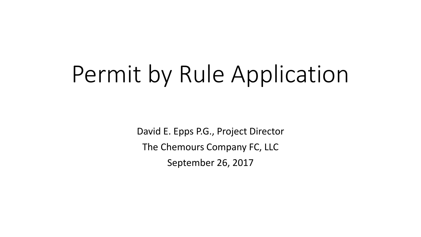# Permit by Rule Application

David E. Epps P.G., Project Director The Chemours Company FC, LLC September 26, 2017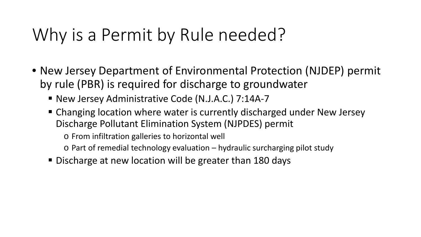### Why is a Permit by Rule needed?

- New Jersey Department of Environmental Protection (NJDEP) permit by rule (PBR) is required for discharge to groundwater
	- New Jersey Administrative Code (N.J.A.C.) 7:14A-7
	- Changing location where water is currently discharged under New Jersey Discharge Pollutant Elimination System (NJPDES) permit

o From infiltration galleries to horizontal well

- o Part of remedial technology evaluation hydraulic surcharging pilot study
- Discharge at new location will be greater than 180 days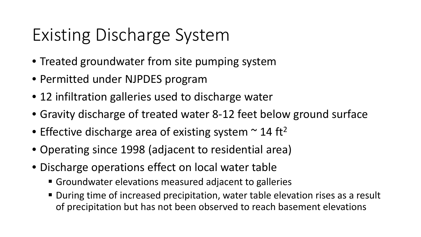# Existing Discharge System

- Treated groundwater from site pumping system
- Permitted under NJPDES program
- 12 infiltration galleries used to discharge water
- Gravity discharge of treated water 8-12 feet below ground surface
- Effective discharge area of existing system  $\sim$  14 ft<sup>2</sup>
- Operating since 1998 (adjacent to residential area)
- Discharge operations effect on local water table
	- Groundwater elevations measured adjacent to galleries
	- During time of increased precipitation, water table elevation rises as a result of precipitation but has not been observed to reach basement elevations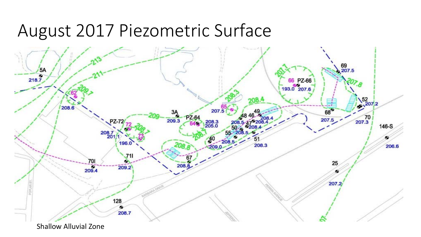#### August 2017 Piezometric Surface

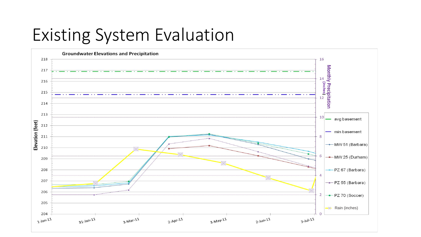#### Existing System Evaluation

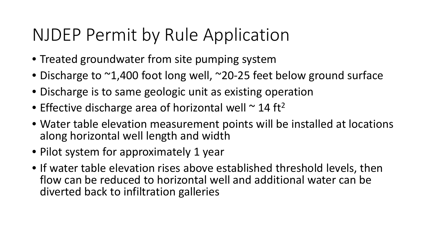### NJDEP Permit by Rule Application

- Treated groundwater from site pumping system
- Discharge to ~1,400 foot long well, ~20-25 feet below ground surface
- Discharge is to same geologic unit as existing operation
- Effective discharge area of horizontal well  $\sim$  14 ft<sup>2</sup>
- Water table elevation measurement points will be installed at locations along horizontal well length and width
- Pilot system for approximately 1 year
- If water table elevation rises above established threshold levels, then flow can be reduced to horizontal well and additional water can be diverted back to infiltration galleries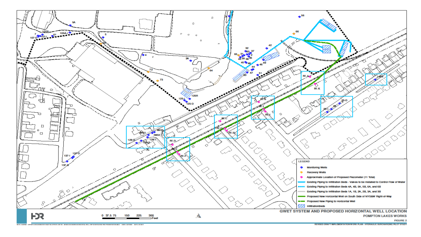

REVISED DRAFT IMPLEMENTATION WORK PLAN - HYDRAULIC SURCHARGING PILOT STUDY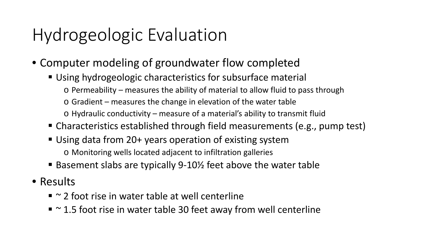# Hydrogeologic Evaluation

- Computer modeling of groundwater flow completed
	- Using hydrogeologic characteristics for subsurface material
		- o Permeability measures the ability of material to allow fluid to pass through
		- o Gradient measures the change in elevation of the water table
		- o Hydraulic conductivity measure of a material's ability to transmit fluid
	- Characteristics established through field measurements (e.g., pump test)
	- Using data from 20+ years operation of existing system o Monitoring wells located adjacent to infiltration galleries
	- Basement slabs are typically 9-10½ feet above the water table
- Results
	- $\blacksquare$   $\sim$  2 foot rise in water table at well centerline
	- $\sim$  1.5 foot rise in water table 30 feet away from well centerline